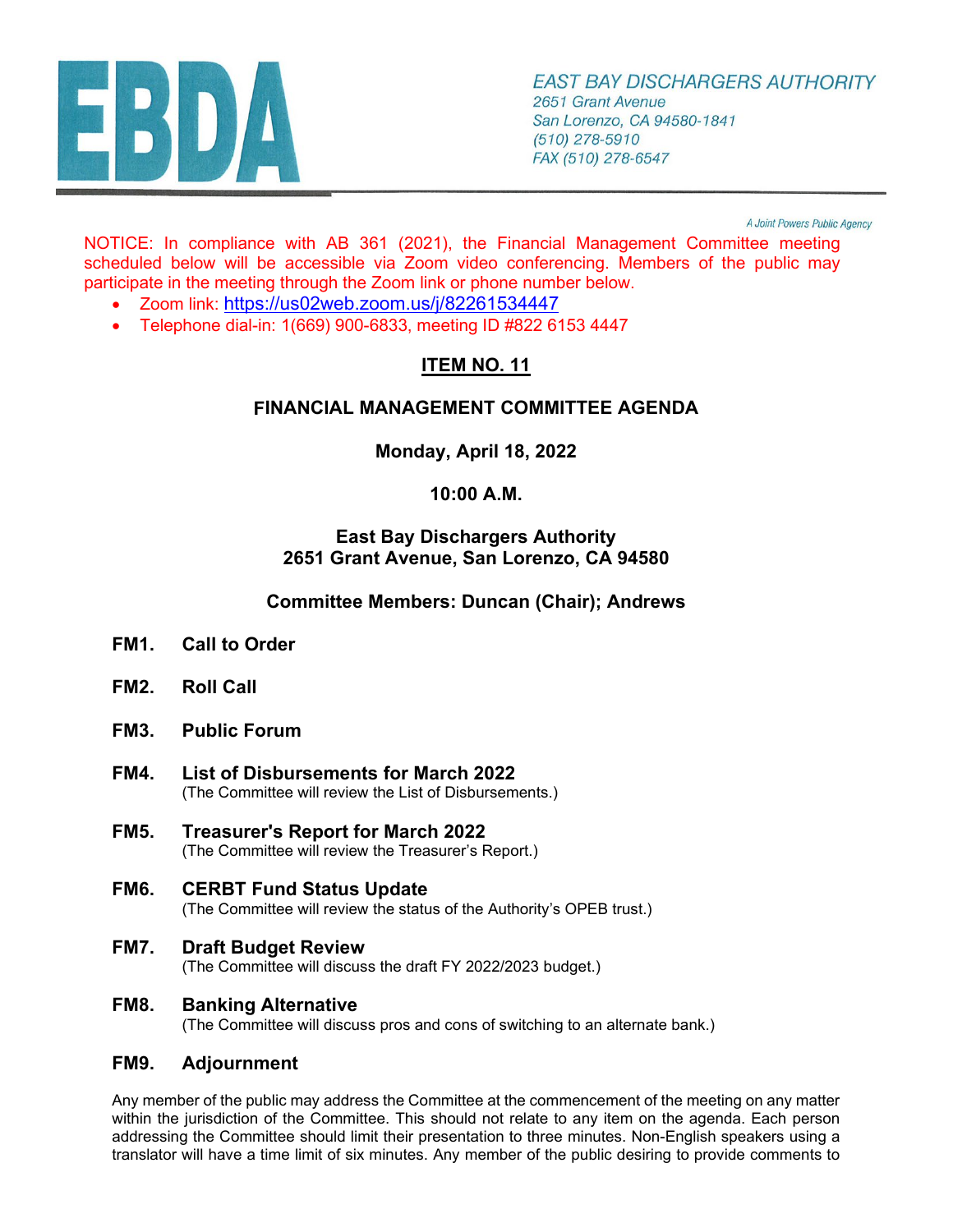

A Joint Powers Public Agency

NOTICE: In compliance with AB 361 (2021), the Financial Management Committee meeting scheduled below will be accessible via Zoom video conferencing. Members of the public may participate in the meeting through the Zoom link or phone number below.

- Zoom link:<https://us02web.zoom.us/j/82261534447>
- Telephone dial-in: 1(669) 900-6833, meeting ID #822 6153 4447

# **ITEM NO. 11**

# **FINANCIAL MANAGEMENT COMMITTEE AGENDA**

**Monday, April 18, 2022** 

## **10:00 A.M.**

#### **East Bay Dischargers Authority 2651 Grant Avenue, San Lorenzo, CA 94580**

## **Committee Members: Duncan (Chair); Andrews**

- **FM1. Call to Order**
- **FM2. Roll Call**
- **FM3. Public Forum**
- **FM4. List of Disbursements for March 2022**  (The Committee will review the List of Disbursements.)
- **FM5. Treasurer's Report for March 2022**  (The Committee will review the Treasurer's Report.)
- **FM6. CERBT Fund Status Update** (The Committee will review the status of the Authority's OPEB trust.)
- **FM7. Draft Budget Review** (The Committee will discuss the draft FY 2022/2023 budget.)
- **FM8. Banking Alternative**

(The Committee will discuss pros and cons of switching to an alternate bank.)

#### **FM9. Adjournment**

Any member of the public may address the Committee at the commencement of the meeting on any matter within the jurisdiction of the Committee. This should not relate to any item on the agenda. Each person addressing the Committee should limit their presentation to three minutes. Non-English speakers using a translator will have a time limit of six minutes. Any member of the public desiring to provide comments to